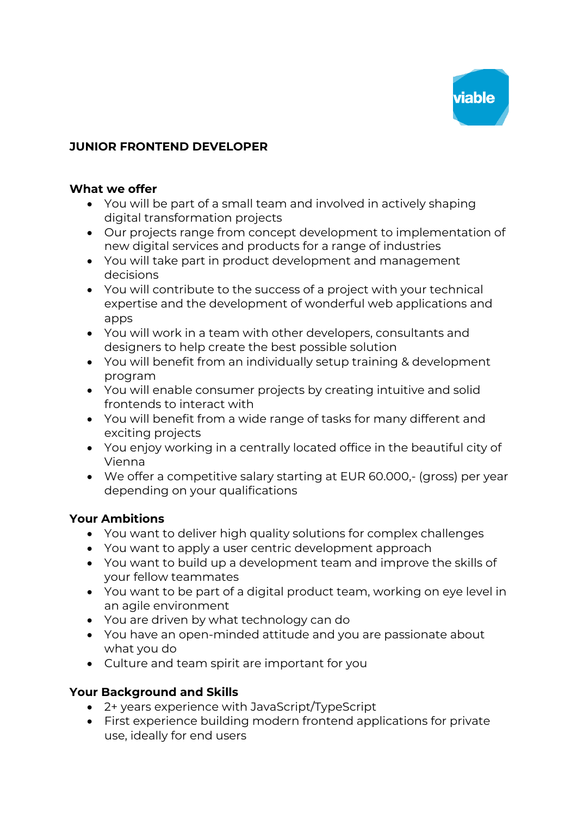

# **JUNIOR FRONTEND DEVELOPER**

#### **What we offer**

- You will be part of a small team and involved in actively shaping digital transformation projects
- Our projects range from concept development to implementation of new digital services and products for a range of industries
- You will take part in product development and management decisions
- You will contribute to the success of a project with your technical expertise and the development of wonderful web applications and apps
- You will work in a team with other developers, consultants and designers to help create the best possible solution
- You will benefit from an individually setup training & development program
- You will enable consumer projects by creating intuitive and solid frontends to interact with
- You will benefit from a wide range of tasks for many different and exciting projects
- You enjoy working in a centrally located office in the beautiful city of Vienna
- We offer a competitive salary starting at EUR 60.000,- (gross) per year depending on your qualifications

### **Your Ambitions**

- You want to deliver high quality solutions for complex challenges
- You want to apply a user centric development approach
- You want to build up a development team and improve the skills of your fellow teammates
- You want to be part of a digital product team, working on eye level in an agile environment
- You are driven by what technology can do
- You have an open-minded attitude and you are passionate about what you do
- Culture and team spirit are important for you

### **Your Background and Skills**

- 2+ years experience with JavaScript/TypeScript
- First experience building modern frontend applications for private use, ideally for end users